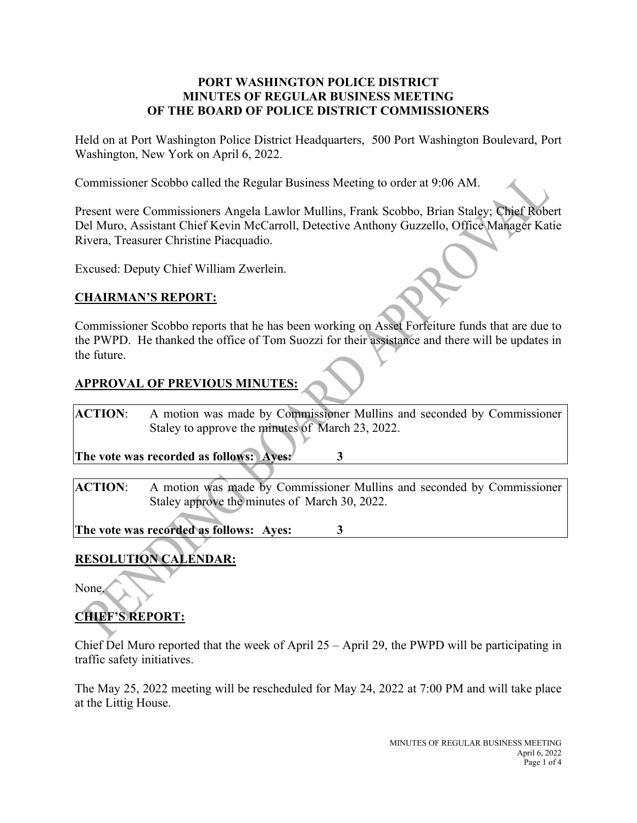#### **PORT WASHINGTON POLICE DISTRICT MINUTES OF REGULAR BUSINESS MEETING OF THE BOARD OF POLICE DISTRICT COMMISSIONERS**

Held on at Port Washington Police District Headquarters, 500 Port Washington Boulevard, Port Washington, New York on April 6, 2022.

Commissioner Scobbo called the Regular Business Meeting to order at 9:06 AM.

Present were Commissioners Angela Lawlor Mullins, Frank Scobbo, Brian Staley; Chief Robert Del Muro, Assistant Chief Kevin McCarroll, Detective Anthony Guzzello, Office Manager Katie Rivera, Treasurer Christine Piacquadio.

Excused: Deputy Chief William Zwerlein.

#### **CHAIRMAN'S REPORT:**

Commissioner Scobbo reports that he has been working on Asset Forfeiture funds that are due to the PWPD. He thanked the office of Tom Suozzi for their assistance and there will be updates in the future.

#### **APPROVAL OF PREVIOUS MINUTES:**

**ACTION**: A motion was made by Commissioner Mullins and seconded by Commissioner Staley to approve the minutes of March 23, 2022.

**The vote was recorded as follows: Ayes: 3**

**ACTION**: A motion was made by Commissioner Mullins and seconded by Commissioner Staley approve the minutes of March 30, 2022.

**The vote was recorded as follows: Ayes: 3**

## **RESOLUTION CALENDAR:**

None.

# **CHIEF'S REPORT:**

Chief Del Muro reported that the week of April 25 – April 29, the PWPD will be participating in traffic safety initiatives.

The May 25, 2022 meeting will be rescheduled for May 24, 2022 at 7:00 PM and will take place at the Littig House.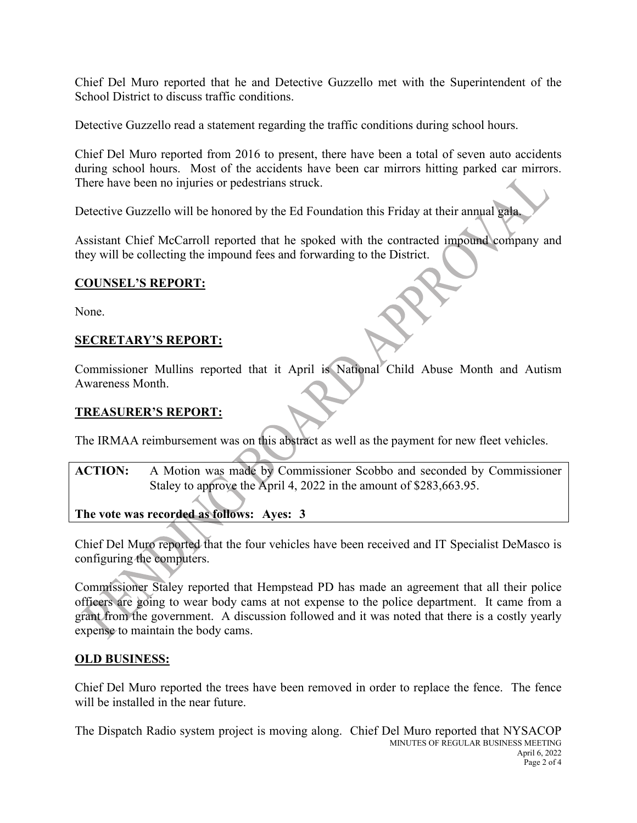Chief Del Muro reported that he and Detective Guzzello met with the Superintendent of the School District to discuss traffic conditions.

Detective Guzzello read a statement regarding the traffic conditions during school hours.

Chief Del Muro reported from 2016 to present, there have been a total of seven auto accidents during school hours. Most of the accidents have been car mirrors hitting parked car mirrors. There have been no injuries or pedestrians struck.

Detective Guzzello will be honored by the Ed Foundation this Friday at their annual gala.

Assistant Chief McCarroll reported that he spoked with the contracted impound company and they will be collecting the impound fees and forwarding to the District.

#### **COUNSEL'S REPORT:**

None.

#### **SECRETARY'S REPORT:**

Commissioner Mullins reported that it April is National Child Abuse Month and Autism Awareness Month.

#### **TREASURER'S REPORT:**

The IRMAA reimbursement was on this abstract as well as the payment for new fleet vehicles.

**ACTION:** A Motion was made by Commissioner Scobbo and seconded by Commissioner Staley to approve the April 4, 2022 in the amount of \$283,663.95.

**The vote was recorded as follows: Ayes: 3**

Chief Del Muro reported that the four vehicles have been received and IT Specialist DeMasco is configuring the computers.

Commissioner Staley reported that Hempstead PD has made an agreement that all their police officers are going to wear body cams at not expense to the police department. It came from a grant from the government. A discussion followed and it was noted that there is a costly yearly expense to maintain the body cams.

#### **OLD BUSINESS:**

Chief Del Muro reported the trees have been removed in order to replace the fence. The fence will be installed in the near future.

MINUTES OF REGULAR BUSINESS MEETING April 6, 2022 Page 2 of 4 The Dispatch Radio system project is moving along. Chief Del Muro reported that NYSACOP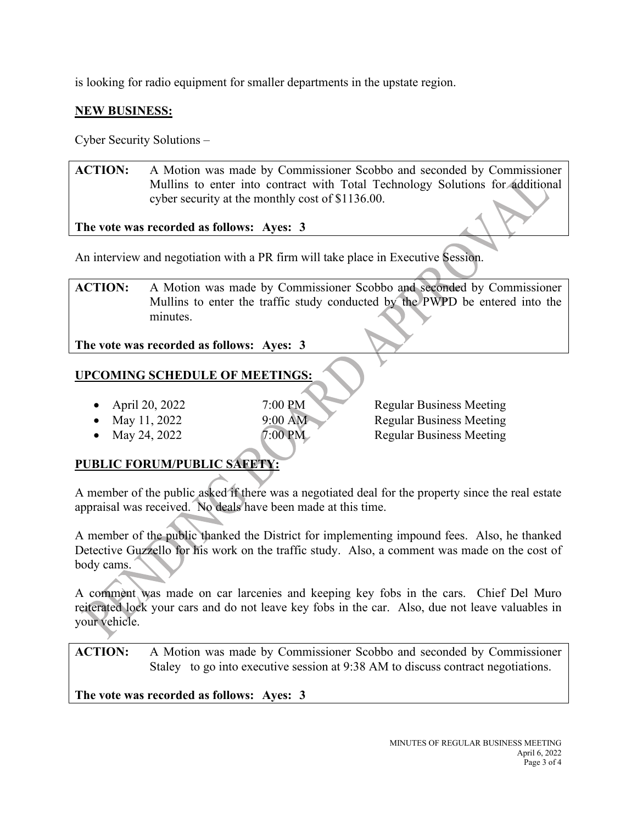is looking for radio equipment for smaller departments in the upstate region.

### **NEW BUSINESS:**

Cyber Security Solutions –

**ACTION:** A Motion was made by Commissioner Scobbo and seconded by Commissioner Mullins to enter into contract with Total Technology Solutions for additional cyber security at the monthly cost of \$1136.00.

**The vote was recorded as follows: Ayes: 3**

An interview and negotiation with a PR firm will take place in Executive Session.

**ACTION:** A Motion was made by Commissioner Scobbo and seconded by Commissioner Mullins to enter the traffic study conducted by the PWPD be entered into the minutes.

**The vote was recorded as follows: Ayes: 3**

## **UPCOMING SCHEDULE OF MEETINGS:**

- April 20, 2022 7:00 PM Regular Business Meeting
- 
- 

• May 11, 2022 9:00 AM Regular Business Meeting • May 24, 2022  $\overline{7:00 \text{ PM}}$  Regular Business Meeting

## **PUBLIC FORUM/PUBLIC SAFETY:**

A member of the public asked if there was a negotiated deal for the property since the real estate appraisal was received. No deals have been made at this time.

A member of the public thanked the District for implementing impound fees. Also, he thanked Detective Guzzello for his work on the traffic study. Also, a comment was made on the cost of body cams.

A comment was made on car larcenies and keeping key fobs in the cars. Chief Del Muro reiterated lock your cars and do not leave key fobs in the car. Also, due not leave valuables in your vehicle.

**ACTION:** A Motion was made by Commissioner Scobbo and seconded by Commissioner Staley to go into executive session at 9:38 AM to discuss contract negotiations.

**The vote was recorded as follows: Ayes: 3**